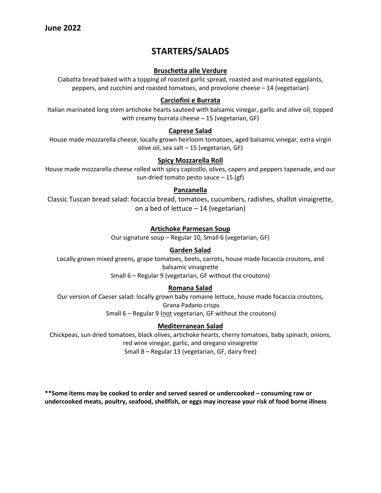# **STARTERS/SALADS**

# **Bruschetta alle Verdure**

Ciabatta bread baked with a topping of roasted garlic spread, roasted and marinated eggplants, peppers, and zucchini and roasted tomatoes, and provolone cheese – 14 (vegetarian)

# **Carciofini e Burrata**

Italian marinated long stem artichoke hearts sauteed with balsamic vinegar, garlic and olive oil, topped with creamy burrata cheese – 15 (vegetarian, GF)

### **Caprese Salad**

House made mozzarella cheese, locally grown heirloom tomatoes, aged balsamic vinegar, extra virgin olive oil, sea salt – 15 (vegetarian, GF)

# **Spicy Mozzarella Roll**

House made mozzarella cheese rolled with spicy capicollo, olives, capers and peppers tapenade, and our sun dried tomato pesto sauce – 15 (gf)

# **Panzanella**

Classic Tuscan bread salad: focaccia bread, tomatoes, cucumbers, radishes, shallot vinaigrette, on a bed of lettuce – 14 (vegetarian)

# **Artichoke Parmesan Soup**

Our signature soup – Regular 10, Small 6 (vegetarian, GF)

# **Garden Salad**

Locally grown mixed greens, grape tomatoes, beets, carrots, house made focaccia croutons, and balsamic vinaigrette

Small 6 – Regular 9 (vegetarian, GF without the croutons)

### **Romana Salad**

Our version of Caeser salad: locally grown baby romaine lettuce, house made focaccia croutons, Grana Padano crisps Small 6 – Regular 9 (not vegetarian, GF without the croutons)

### **Mediterranean Salad**

Chickpeas, sun dried tomatoes, black olives, artichoke hearts, cherry tomatoes, baby spinach, onions, red wine vinegar, garlic, and oregano vinaigrette Small 8 – Regular 13 (vegetarian, GF, dairy free)

**\*\*Some items may be cooked to order and served seared or undercooked – consuming raw or undercooked meats, poultry, seafood, shellfish, or eggs may increase your risk of food borne illness**